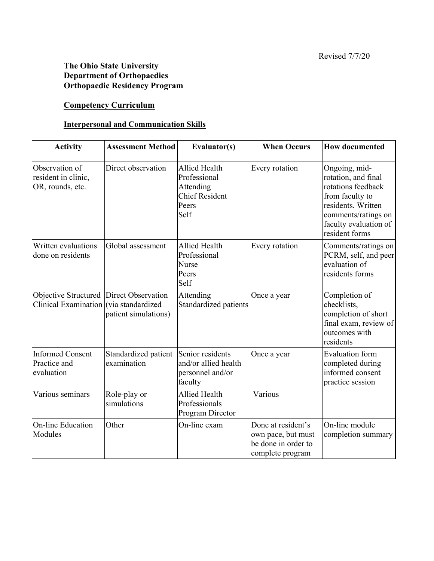## **The Ohio State University Department of Orthopaedics Orthopaedic Residency Program**

#### **Competency Curriculum**

#### **Interpersonal and Communication Skills**

| <b>Activity</b>                                                                   | <b>Assessment Method</b>                             | Evaluator(s)                                                                                | <b>When Occurs</b>                                                                  | <b>How documented</b>                                                                                                                                                 |
|-----------------------------------------------------------------------------------|------------------------------------------------------|---------------------------------------------------------------------------------------------|-------------------------------------------------------------------------------------|-----------------------------------------------------------------------------------------------------------------------------------------------------------------------|
| Observation of<br>resident in clinic,<br>OR, rounds, etc.                         | Direct observation                                   | <b>Allied Health</b><br>Professional<br>Attending<br><b>Chief Resident</b><br>Peers<br>Self | Every rotation                                                                      | Ongoing, mid-<br>rotation, and final<br>rotations feedback<br>from faculty to<br>residents. Written<br>comments/ratings on<br>faculty evaluation of<br>resident forms |
| Written evaluations<br>done on residents                                          | Global assessment                                    | <b>Allied Health</b><br>Professional<br>Nurse<br>Peers<br>Self                              | Every rotation                                                                      | Comments/ratings on<br>PCRM, self, and peer<br>evaluation of<br>residents forms                                                                                       |
| Objective Structured Direct Observation<br>Clinical Examination (via standardized | patient simulations)                                 | Attending<br>Standardized patients                                                          | Once a year                                                                         | Completion of<br>checklists,<br>completion of short<br>final exam, review of<br>outcomes with<br>residents                                                            |
| <b>Informed Consent</b><br>Practice and<br>evaluation                             | Standardized patient Senior residents<br>examination | and/or allied health<br>personnel and/or<br>faculty                                         | Once a year                                                                         | <b>Evaluation</b> form<br>completed during<br>informed consent<br>practice session                                                                                    |
| Various seminars                                                                  | Role-play or<br>simulations                          | Allied Health<br>Professionals<br>Program Director                                          | Various                                                                             |                                                                                                                                                                       |
| <b>On-line Education</b><br>Modules                                               | Other                                                | On-line exam                                                                                | Done at resident's<br>own pace, but must<br>be done in order to<br>complete program | On-line module<br>completion summary                                                                                                                                  |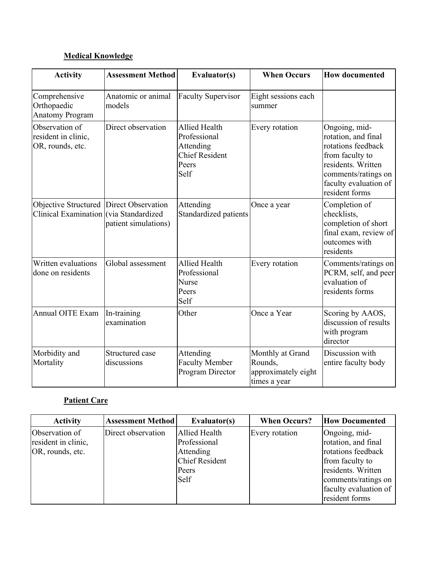# **Medical Knowledge**

| <b>Activity</b>                                                                   | <b>Assessment Method</b>       | Evaluator(s)                                                                         | <b>When Occurs</b>                                                 | <b>How documented</b>                                                                                                                                                 |
|-----------------------------------------------------------------------------------|--------------------------------|--------------------------------------------------------------------------------------|--------------------------------------------------------------------|-----------------------------------------------------------------------------------------------------------------------------------------------------------------------|
| Comprehensive<br>Orthopaedic<br><b>Anatomy Program</b>                            | Anatomic or animal<br>models   | <b>Faculty Supervisor</b>                                                            | Eight sessions each<br>summer                                      |                                                                                                                                                                       |
| Observation of<br>resident in clinic,<br>OR, rounds, etc.                         | Direct observation             | Allied Health<br>Professional<br>Attending<br><b>Chief Resident</b><br>Peers<br>Self | Every rotation                                                     | Ongoing, mid-<br>rotation, and final<br>rotations feedback<br>from faculty to<br>residents. Written<br>comments/ratings on<br>faculty evaluation of<br>resident forms |
| Objective Structured Direct Observation<br>Clinical Examination (via Standardized | patient simulations)           | Attending<br>Standardized patients                                                   | Once a year                                                        | Completion of<br>checklists,<br>completion of short<br>final exam, review of<br>outcomes with<br>residents                                                            |
| Written evaluations<br>done on residents                                          | Global assessment              | <b>Allied Health</b><br>Professional<br>Nurse<br>Peers<br>Self                       | Every rotation                                                     | Comments/ratings on<br>PCRM, self, and peer<br>evaluation of<br>residents forms                                                                                       |
| <b>Annual OITE Exam</b>                                                           | In-training<br>examination     | Other                                                                                | Once a Year                                                        | Scoring by AAOS,<br>discussion of results<br>with program<br>director                                                                                                 |
| Morbidity and<br>Mortality                                                        | Structured case<br>discussions | Attending<br><b>Faculty Member</b><br>Program Director                               | Monthly at Grand<br>Rounds,<br>approximately eight<br>times a year | Discussion with<br>entire faculty body                                                                                                                                |

# **Patient Care**

| <b>Activity</b>                                           | <b>Assessment Method</b> | Evaluator(s)                                                                                | <b>When Occurs?</b> | <b>How Documented</b>                                                                                                                                                 |
|-----------------------------------------------------------|--------------------------|---------------------------------------------------------------------------------------------|---------------------|-----------------------------------------------------------------------------------------------------------------------------------------------------------------------|
| Observation of<br>resident in clinic,<br>OR, rounds, etc. | Direct observation       | <b>Allied Health</b><br>Professional<br>Attending<br><b>Chief Resident</b><br>Peers<br>Self | Every rotation      | Ongoing, mid-<br>rotation, and final<br>rotations feedback<br>from faculty to<br>residents. Written<br>comments/ratings on<br>faculty evaluation of<br>resident forms |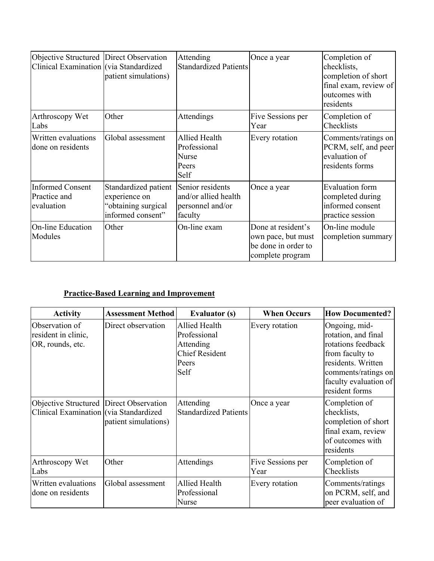| Objective Structured Direct Observation<br>Clinical Examination (via Standardized | patient simulations)                                                              | Attending<br><b>Standardized Patients</b>                               | Once a year                                                                         | Completion of<br>checklists,<br>completion of short<br>final exam, review of<br>outcomes with<br>residents |
|-----------------------------------------------------------------------------------|-----------------------------------------------------------------------------------|-------------------------------------------------------------------------|-------------------------------------------------------------------------------------|------------------------------------------------------------------------------------------------------------|
| Arthroscopy Wet<br>Labs                                                           | Other                                                                             | Attendings                                                              | Five Sessions per<br>Year                                                           | Completion of<br>Checklists                                                                                |
| Written evaluations<br>done on residents                                          | Global assessment                                                                 | <b>Allied Health</b><br>Professional<br>Nurse<br>Peers<br>Self          | Every rotation                                                                      | Comments/ratings on<br>PCRM, self, and peer<br>evaluation of<br>residents forms                            |
| <b>Informed Consent</b><br>Practice and<br>evaluation                             | Standardized patient<br>experience on<br>"obtaining surgical<br>informed consent" | Senior residents<br>and/or allied health<br>personnel and/or<br>faculty | Once a year                                                                         | <b>Evaluation</b> form<br>completed during<br>informed consent<br>practice session                         |
| On-line Education<br>Modules                                                      | Other                                                                             | On-line exam                                                            | Done at resident's<br>own pace, but must<br>be done in order to<br>complete program | On-line module<br>completion summary                                                                       |

# **Practice-Based Learning and Improvement**

| <b>Activity</b>                                                                   | <b>Assessment Method</b> | <b>Evaluator (s)</b>                                                                 | <b>When Occurs</b>        | <b>How Documented?</b>                                                                                                                                                |
|-----------------------------------------------------------------------------------|--------------------------|--------------------------------------------------------------------------------------|---------------------------|-----------------------------------------------------------------------------------------------------------------------------------------------------------------------|
| Observation of<br>resident in clinic,<br>OR, rounds, etc.                         | Direct observation       | Allied Health<br>Professional<br>Attending<br><b>Chief Resident</b><br>Peers<br>Self | Every rotation            | Ongoing, mid-<br>rotation, and final<br>rotations feedback<br>from faculty to<br>residents. Written<br>comments/ratings on<br>faculty evaluation of<br>resident forms |
| Objective Structured Direct Observation<br>Clinical Examination (via Standardized | patient simulations)     | Attending<br><b>Standardized Patients</b>                                            | Once a year               | Completion of<br>checklists,<br>completion of short<br>final exam, review<br>of outcomes with<br>residents                                                            |
| Arthroscopy Wet<br>Labs                                                           | Other                    | Attendings                                                                           | Five Sessions per<br>Year | Completion of<br>Checklists                                                                                                                                           |
| Written evaluations<br>done on residents                                          | Global assessment        | <b>Allied Health</b><br>Professional<br>Nurse                                        | Every rotation            | Comments/ratings<br>on PCRM, self, and<br>peer evaluation of                                                                                                          |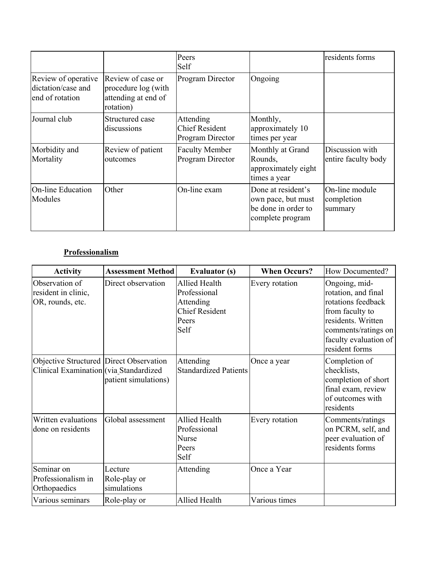|                                                              |                                                                              | Peers<br>Self                                          |                                                                                     | residents forms                         |
|--------------------------------------------------------------|------------------------------------------------------------------------------|--------------------------------------------------------|-------------------------------------------------------------------------------------|-----------------------------------------|
| Review of operative<br>dictation/case and<br>end of rotation | Review of case or<br>procedure log (with<br>attending at end of<br>rotation) | <b>Program Director</b>                                | Ongoing                                                                             |                                         |
| Journal club                                                 | Structured case<br>discussions                                               | Attending<br><b>Chief Resident</b><br>Program Director | Monthly,<br>approximately 10<br>times per year                                      |                                         |
| Morbidity and<br>Mortality                                   | Review of patient<br>outcomes                                                | <b>Faculty Member</b><br>Program Director              | Monthly at Grand<br>Rounds,<br>approximately eight<br>times a year                  | Discussion with<br>entire faculty body  |
| On-line Education<br>Modules                                 | Other                                                                        | On-line exam                                           | Done at resident's<br>own pace, but must<br>be done in order to<br>complete program | On-line module<br>completion<br>summary |

## **Professionalism**

| <b>Activity</b>                                                                   | <b>Assessment Method</b>               | <b>Evaluator (s)</b>                                                                 | <b>When Occurs?</b> | How Documented?                                                                                                                                                       |
|-----------------------------------------------------------------------------------|----------------------------------------|--------------------------------------------------------------------------------------|---------------------|-----------------------------------------------------------------------------------------------------------------------------------------------------------------------|
| Observation of<br>resident in clinic,<br>OR, rounds, etc.                         | Direct observation                     | Allied Health<br>Professional<br>Attending<br><b>Chief Resident</b><br>Peers<br>Self | Every rotation      | Ongoing, mid-<br>rotation, and final<br>rotations feedback<br>from faculty to<br>residents. Written<br>comments/ratings on<br>faculty evaluation of<br>resident forms |
| Objective Structured Direct Observation<br>Clinical Examination (via Standardized | patient simulations)                   | Attending<br><b>Standardized Patients</b>                                            | Once a year         | Completion of<br>checklists,<br>completion of short<br>final exam, review<br>of outcomes with<br>residents                                                            |
| Written evaluations<br>done on residents                                          | Global assessment                      | Allied Health<br>Professional<br>Nurse<br>Peers<br>Self                              | Every rotation      | Comments/ratings<br>on PCRM, self, and<br>peer evaluation of<br>residents forms                                                                                       |
| Seminar on<br>Professionalism in<br>Orthopaedics                                  | Lecture<br>Role-play or<br>simulations | Attending                                                                            | Once a Year         |                                                                                                                                                                       |
| Various seminars                                                                  | Role-play or                           | Allied Health                                                                        | Various times       |                                                                                                                                                                       |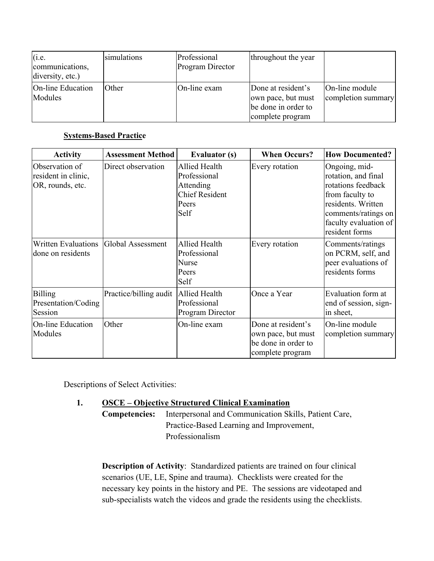| (i.e.<br>communications,<br>diversity, etc.) | simulations | Professional<br>Program Director | throughout the year                                                                 |                                      |
|----------------------------------------------|-------------|----------------------------------|-------------------------------------------------------------------------------------|--------------------------------------|
| <b>On-line Education</b><br>Modules          | Other       | On-line exam                     | Done at resident's<br>own pace, but must<br>be done in order to<br>complete program | On-line module<br>completion summary |

#### **Systems-Based Practice**

| <b>Activity</b>                                           | <b>Assessment Method</b> | <b>Evaluator (s)</b>                                                                 | <b>When Occurs?</b>                                                                 | <b>How Documented?</b>                                                                                                                                                |
|-----------------------------------------------------------|--------------------------|--------------------------------------------------------------------------------------|-------------------------------------------------------------------------------------|-----------------------------------------------------------------------------------------------------------------------------------------------------------------------|
| Observation of<br>resident in clinic,<br>OR, rounds, etc. | Direct observation       | Allied Health<br>Professional<br>Attending<br><b>Chief Resident</b><br>Peers<br>Self | Every rotation                                                                      | Ongoing, mid-<br>rotation, and final<br>rotations feedback<br>from faculty to<br>residents. Written<br>comments/ratings on<br>faculty evaluation of<br>resident forms |
| <b>Written Evaluations</b><br>done on residents           | Global Assessment        | Allied Health<br>Professional<br>Nurse<br>Peers<br>Self                              | Every rotation                                                                      | Comments/ratings<br>on PCRM, self, and<br>peer evaluations of<br>residents forms                                                                                      |
| <b>Billing</b><br>Presentation/Coding<br>Session          | Practice/billing audit   | <b>Allied Health</b><br>Professional<br>Program Director                             | Once a Year                                                                         | Evaluation form at<br>end of session, sign-<br>in sheet,                                                                                                              |
| On-line Education<br>Modules                              | Other                    | On-line exam                                                                         | Done at resident's<br>own pace, but must<br>be done in order to<br>complete program | On-line module<br>completion summary                                                                                                                                  |

Descriptions of Select Activities:

#### **1. OSCE – Objective Structured Clinical Examination**

**Competencies:** Interpersonal and Communication Skills, Patient Care, Practice-Based Learning and Improvement, Professionalism

**Description of Activity**: Standardized patients are trained on four clinical scenarios (UE, LE, Spine and trauma). Checklists were created for the necessary key points in the history and PE. The sessions are videotaped and sub-specialists watch the videos and grade the residents using the checklists.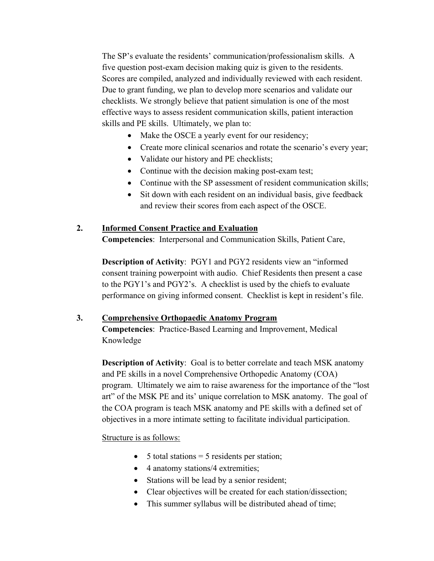The SP's evaluate the residents' communication/professionalism skills. A five question post-exam decision making quiz is given to the residents. Scores are compiled, analyzed and individually reviewed with each resident. Due to grant funding, we plan to develop more scenarios and validate our checklists. We strongly believe that patient simulation is one of the most effective ways to assess resident communication skills, patient interaction skills and PE skills. Ultimately, we plan to:

- Make the OSCE a yearly event for our residency;
- Create more clinical scenarios and rotate the scenario's every year;
- Validate our history and PE checklists;
- Continue with the decision making post-exam test;
- Continue with the SP assessment of resident communication skills;
- Sit down with each resident on an individual basis, give feedback and review their scores from each aspect of the OSCE.

## **2. Informed Consent Practice and Evaluation**

**Competencies**: Interpersonal and Communication Skills, Patient Care,

**Description of Activity**: PGY1 and PGY2 residents view an "informed consent training powerpoint with audio. Chief Residents then present a case to the PGY1's and PGY2's. A checklist is used by the chiefs to evaluate performance on giving informed consent. Checklist is kept in resident's file.

#### **3. Comprehensive Orthopaedic Anatomy Program**

**Competencies**: Practice-Based Learning and Improvement, Medical Knowledge

**Description of Activity:** Goal is to better correlate and teach MSK anatomy and PE skills in a novel Comprehensive Orthopedic Anatomy (COA) program. Ultimately we aim to raise awareness for the importance of the "lost art" of the MSK PE and its' unique correlation to MSK anatomy. The goal of the COA program is teach MSK anatomy and PE skills with a defined set of objectives in a more intimate setting to facilitate individual participation.

Structure is as follows:

- $\bullet$  5 total stations = 5 residents per station;
- 4 anatomy stations/4 extremities;
- Stations will be lead by a senior resident;
- Clear objectives will be created for each station/dissection;
- This summer syllabus will be distributed ahead of time;